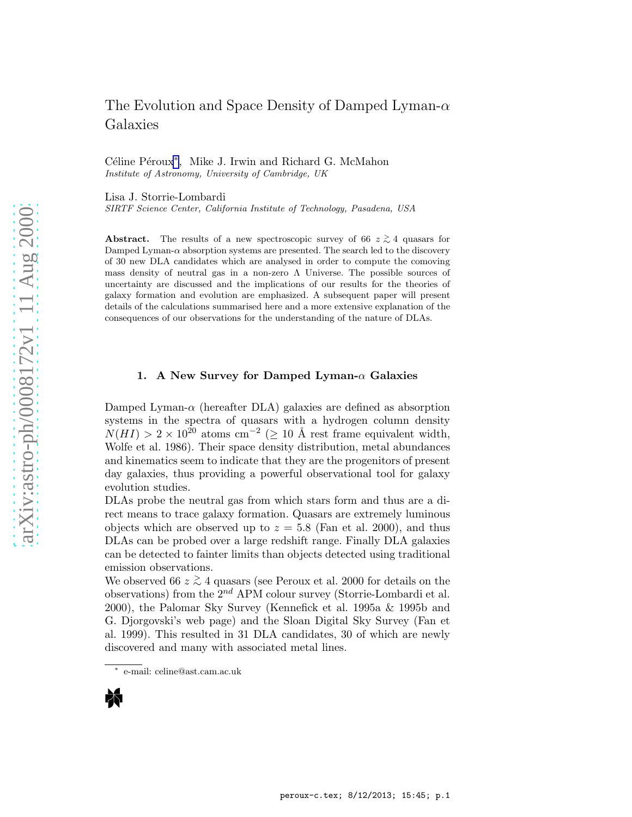# The Evolution and Space Density of Damped Lyman- $\alpha$ Galaxies

Céline Péroux<sup>\*</sup>, Mike J. Irwin and Richard G. McMahon Institute of Astronomy, University of Cambridge, UK

Lisa J. Storrie-Lombardi

SIRTF Science Center, California Institute of Technology, Pasadena, USA

Abstract. The results of a new spectroscopic survey of 66  $z \gtrsim 4$  quasars for Damped Lyman- $\alpha$  absorption systems are presented. The search led to the discovery of 30 new DLA candidates which are analysed in order to compute the comoving mass density of neutral gas in a non-zero  $\Lambda$  Universe. The possible sources of uncertainty are discussed and the implications of our results for the theories of galaxy formation and evolution are emphasized. A subsequent paper will present details of the calculations summarised here and a more extensive explanation of the consequences of our observations for the understanding of the nature of DLAs.

## 1. A New Survey for Damped Lyman- $\alpha$  Galaxies

Damped Lyman- $\alpha$  (hereafter DLA) galaxies are defined as absorption systems in the spectra of quasars with a hydrogen column density  $N(HI) > 2 \times 10^{20}$  atoms cm<sup>-2</sup> (> 10 Å rest frame equivalent width, Wolfe et al. 1986). Their space density distribution, metal abundances and kinematics seem to indicate that they are the progenitors of present day galaxies, thus providing a powerful observational tool for galaxy evolution studies.

DLAs probe the neutral gas from which stars form and thus are a direct means to trace galaxy formation. Quasars are extremely luminous objects which are observed up to  $z = 5.8$  (Fan et al. 2000), and thus DLAs can be probed over a large redshift range. Finally DLA galaxies can be detected to fainter limits than objects detected using traditional emission observations.

We observed 66 $z\stackrel{>}{_\sim}4$  quasars (see Peroux et al. 2000 for details on the observations) from the  $2^{nd}$  APM colour survey (Storrie-Lombardi et al. 2000), the Palomar Sky Survey (Kennefick et al. 1995a & 1995b and G. Djorgovski's web page) and the Sloan Digital Sky Survey (Fan et al. 1999). This resulted in 31 DLA candidates, 30 of which are newly discovered and many with associated metal lines.

<sup>∗</sup> e-mail: celine@ast.cam.ac.uk

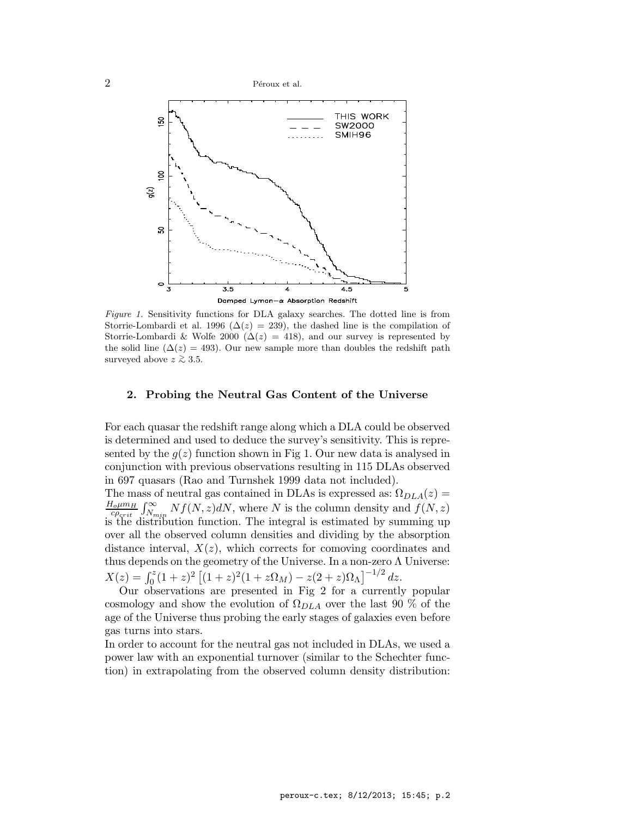2 P´eroux et al.



Figure 1. Sensitivity functions for DLA galaxy searches. The dotted line is from Storrie-Lombardi et al. 1996 ( $\Delta(z) = 239$ ), the dashed line is the compilation of Storrie-Lombardi & Wolfe 2000 ( $\Delta(z) = 418$ ), and our survey is represented by the solid line ( $\Delta(z) = 493$ ). Our new sample more than doubles the redshift path surveyed above  $z \gtrsim 3.5$ .

#### 2. Probing the Neutral Gas Content of the Universe

For each quasar the redshift range along which a DLA could be observed is determined and used to deduce the survey's sensitivity. This is represented by the  $g(z)$  function shown in Fig 1. Our new data is analysed in conjunction with previous observations resulting in 115 DLAs observed in 697 quasars (Rao and Turnshek 1999 data not included).

The mass of neutral gas contained in DLAs is expressed as:  $\Omega_{DLA}(z)$  =  $H_o \mu m_H$  $\frac{L_{\text{ohmm}}}{C_{\text{Perit}}} \int_{N_{\text{min}}}^{\infty} N f(N,z) dN$ , where N is the column density and  $f(N,z)$ is the distribution function. The integral is estimated by summing up over all the observed column densities and dividing by the absorption distance interval,  $X(z)$ , which corrects for comoving coordinates and thus depends on the geometry of the Universe. In a non-zero  $\Lambda$  Universe:  $X(z) = \int_0^z (1+z)^2 \left[ (1+z)^2 (1+z\Omega_M) - z(2+z)\Omega_\Lambda \right]^{-1/2} dz.$ 

Our observations are presented in Fig 2 for a currently popular cosmology and show the evolution of  $\Omega_{DLA}$  over the last 90 % of the age of the Universe thus probing the early stages of galaxies even before gas turns into stars.

In order to account for the neutral gas not included in DLAs, we used a power law with an exponential turnover (similar to the Schechter function) in extrapolating from the observed column density distribution: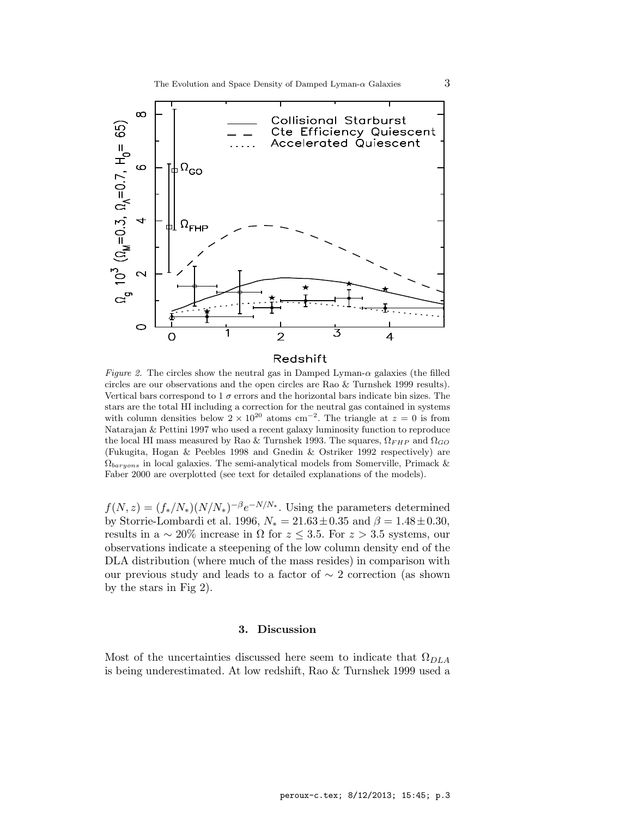

### Redshift

Figure 2. The circles show the neutral gas in Damped Lyman- $\alpha$  galaxies (the filled circles are our observations and the open circles are Rao & Turnshek 1999 results). Vertical bars correspond to 1  $\sigma$  errors and the horizontal bars indicate bin sizes. The stars are the total HI including a correction for the neutral gas contained in systems with column densities below  $2 \times 10^{20}$  atoms cm<sup>-2</sup>. The triangle at  $z = 0$  is from Natarajan & Pettini 1997 who used a recent galaxy luminosity function to reproduce the local HI mass measured by Rao & Turnshek 1993. The squares,  $\Omega_{FHP}$  and  $\Omega_{GO}$ (Fukugita, Hogan & Peebles 1998 and Gnedin & Ostriker 1992 respectively) are  $\Omega_{baryons}$  in local galaxies. The semi-analytical models from Somerville, Primack & Faber 2000 are overplotted (see text for detailed explanations of the models).

 $f(N, z) = (f_*/N_*)(N/N_*)^{-\beta}e^{-N/N_*}$ . Using the parameters determined by Storrie-Lombardi et al. 1996,  $N_* = 21.63 \pm 0.35$  and  $\beta = 1.48 \pm 0.30$ , results in a  $\sim 20\%$  increase in  $\Omega$  for  $z \leq 3.5$ . For  $z > 3.5$  systems, our observations indicate a steepening of the low column density end of the DLA distribution (where much of the mass resides) in comparison with our previous study and leads to a factor of ∼ 2 correction (as shown by the stars in Fig 2).

### 3. Discussion

Most of the uncertainties discussed here seem to indicate that  $\Omega_{DLA}$ is being underestimated. At low redshift, Rao & Turnshek 1999 used a